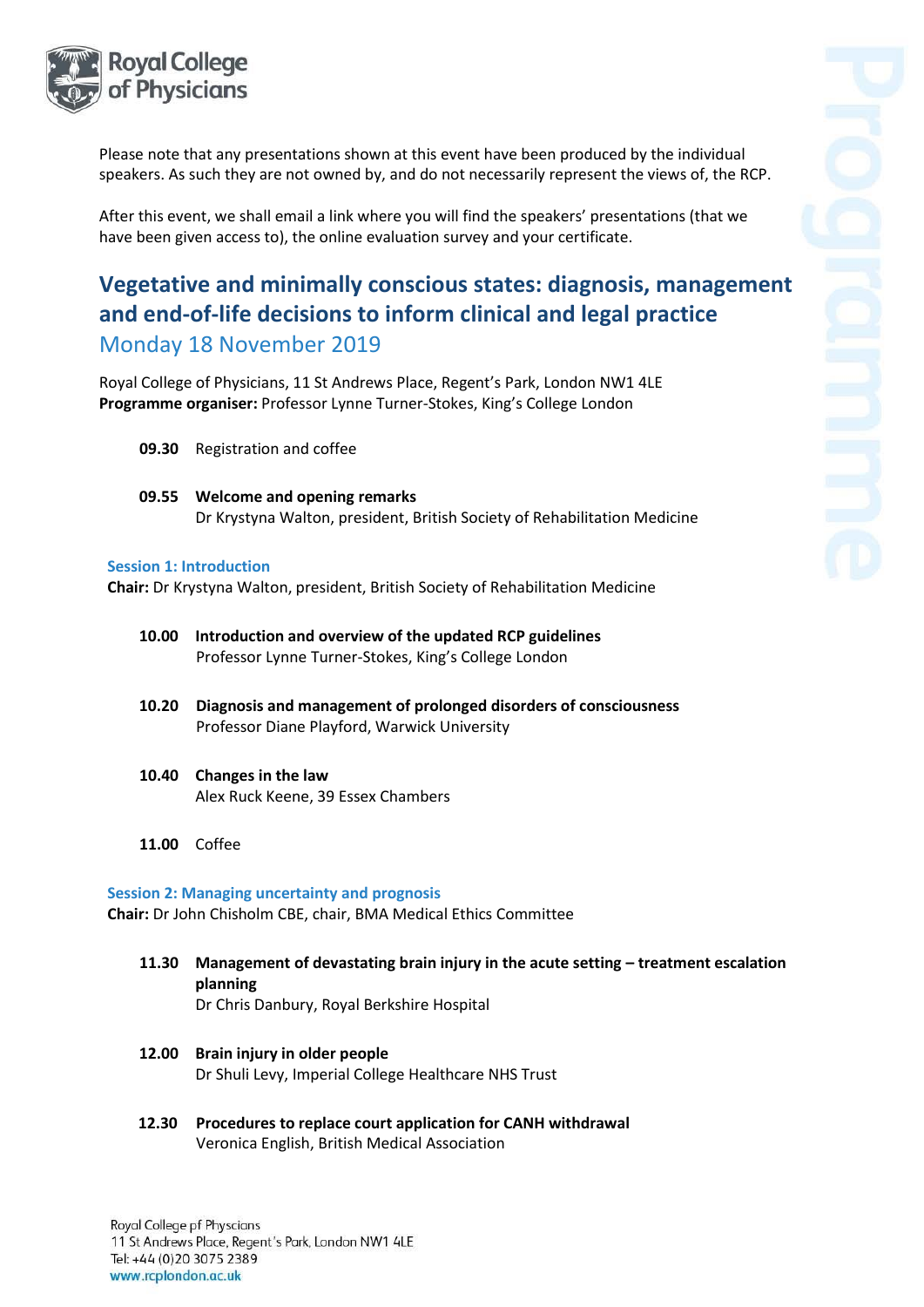

Please note that any presentations shown at this event have been produced by the individual speakers. As such they are not owned by, and do not necessarily represent the views of, the RCP.

After this event, we shall email a link where you will find the speakers' presentations (that we have been given access to), the online evaluation survey and your certificate.

# **Vegetative and minimally conscious states: diagnosis, management and end-of-life decisions to inform clinical and legal practice**  Monday 18 November 2019

Royal College of Physicians, 11 St Andrews Place, Regent's Park, London NW1 4LE **Programme organiser:** Professor Lynne Turner-Stokes, King's College London

- **09.30** Registration and coffee
- **09.55 Welcome and opening remarks** Dr Krystyna Walton, president, British Society of Rehabilitation Medicine

#### **Session 1: Introduction**

**Chair:** Dr Krystyna Walton, president, British Society of Rehabilitation Medicine

- **10.00 Introduction and overview of the updated RCP guidelines** Professor Lynne Turner-Stokes, King's College London
- **10.20 Diagnosis and management of prolonged disorders of consciousness** Professor Diane Playford, Warwick University
- **10.40 Changes in the law**  Alex Ruck Keene, 39 Essex Chambers
- **11.00** Coffee

## **Session 2: Managing uncertainty and prognosis**

**Chair:** Dr John Chisholm CBE, chair, BMA Medical Ethics Committee

- **11.30 Management of devastating brain injury in the acute setting – treatment escalation planning** Dr Chris Danbury, Royal Berkshire Hospital
- **12.00 Brain injury in older people** Dr Shuli Levy, Imperial College Healthcare NHS Trust
- **12.30 Procedures to replace court application for CANH withdrawal** Veronica English, British Medical Association